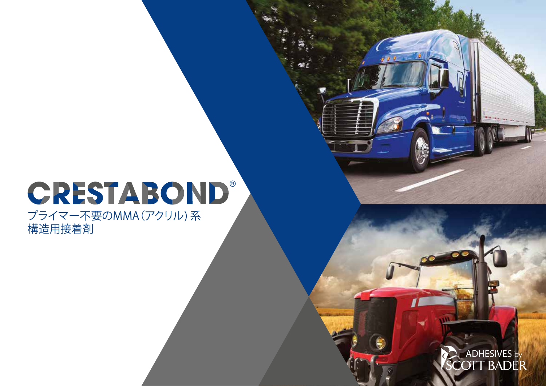# **CRESTABOND®**

プライマー不要のMMA (アクリル) 系 構造用接着剤

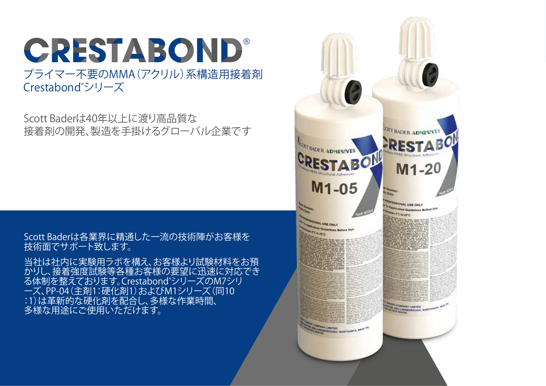# プライマー不要のMMA(アクリル)系構造用接着剤<br>Contributes ポンリーズ Crestabond® シリーズ **CRESTABOND®**

Scott Baderは40年以上に渡り高品質な 接着剤の開発、製造を手掛けるグローバル企業です

Scott Baderは各業界に精通した一流の技術陣がお客様を 技術面でサポート致します。

・I)は<sub>宇</sub>新的な硬1℃剤を配合し、多様々<br>多様な用途にご使用いただけます。 当社は社内に実験用ラボを構え、お客様より試験材料をお預 かりし、接着強度試験等各種お客様の要望に迅速に対応でき る体制を整えております。Crestabond® シリーズのM7シリ ーズ、PP-04(主剤1:硬化剤1)およびM1シリーズ(同10 :1)は革新的な硬化剤を配合し、多様な作業時間、

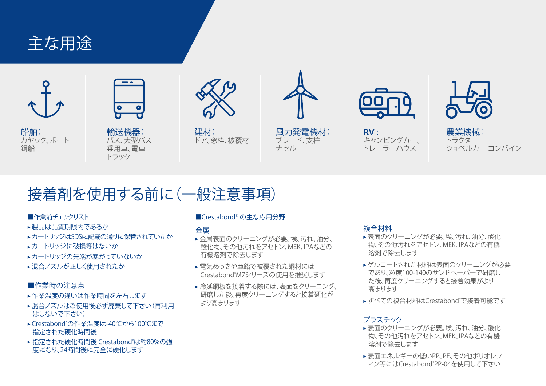# 主な用途



# 接着剤を使用する前に(一般注意事項)

### ■作業前チェックリスト

- 製品は品質期限内であるか
- ▶カートリッジはSDSに記載の通りに保管されていたか
- カートリッジに破損等はないか
- カートリッジの先端が塞がっていないか
- 混合ノズルが正しく使用されたか

### ■作業時の注音占

- ▶作業温度の違いは作業時間を左右します
- ▶混合ノズルはご使用後必ず廃棄して下さい (再利用 はしないで下さい)
- Crestabond® の作業温度は-40℃から100℃まで 指定された硬化時間後
- 指定された硬化時間後 Crestabond® は約80%の強 度になり、24時間後に完全に硬化します

# ■Crestabond® の主な応用分野

# 金属

- ▶ 金属表面のクリーニングが必要。埃、汚れ、油分、 酸化物、その他汚れをアセトン、MEK、IPAなどの 有機溶剤で除去します
- 電気めっきや亜鉛で被覆された鋼材には Crestabond® M7シリーズの使用を推奨します
- 冷延鋼板を接着する際には、表面をクリーニング、 研磨した後、再度クリーニングすると接着硬化が より高まります

### 複合材料

- ▶表面のクリーニングが必要。埃、汚れ、油分、酸化 物、その他汚れをアセトン、MEK、IPAなどの有機 溶剤で除去します
- ゲルコートされた材料は表面のクリーニングが必要 であり、粒度100-140のサンドペーパーで研磨し た後、再度クリーニングすると接着効果がより 高まります
- すべての複合材料はCrestabond® で接着可能です

# プラスチック

- ▶表面のクリーニングが必要。埃、汚れ、油分、酸化 物、その他汚れをアセトン、MEK、IPAなどの有機 溶剤で除去します
- ▶表面エネルギーの低いPP、PE、その他ポリオレフ ィン等にはCrestabond® PP-04を使用して下さい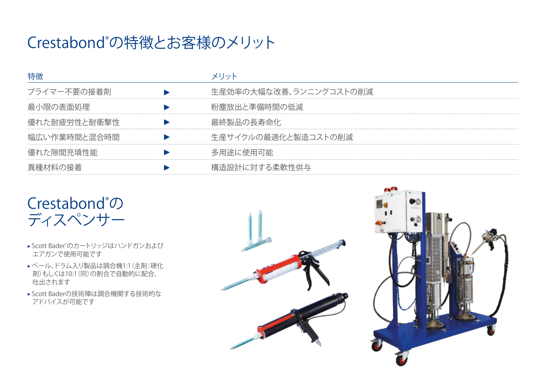# Crestabond® の特徴とお客様のメリット

| 特徴           | メリット                   |
|--------------|------------------------|
| プライマー不要の接着剤  | 生産効率の大幅な改善、ランニングコストの削減 |
| 最小限の表面処理     | 粉塵放出と準備時間の低減           |
| 優れた耐疲労性と耐衝撃性 | 最終製品の長寿命化              |
| 幅広い作業時間と混合時間 | 生産サイクルの最適化と製造コストの削減    |
| 優れた隙間充填性能    | 多用途に使用可能               |
| 異種材料の接着      | 構造設計に対する柔軟性供与          |

# Crestabond® の ディスペンサー

- Scott Bader® のカートリッジはハンドガンおよび エアガンで使用可能です
- ▶ペール、ドラム入り製品は調合機1:1 (主剤:硬化 剤)もしくは10:1(同)の割合で自動的に配合、 吐出されます
- Scott Baderの技術陣は調合機関する技術的な アドバイスが可能です



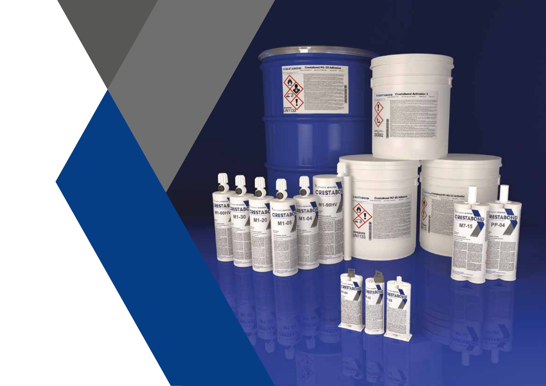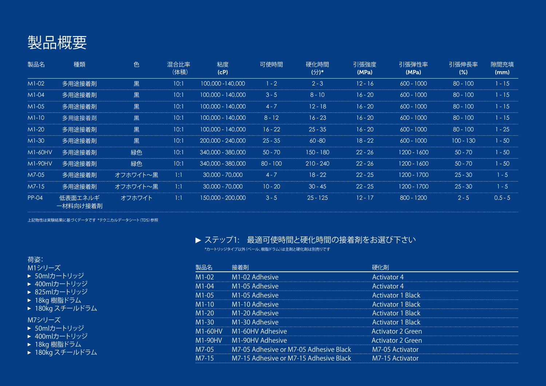# 製品概要

| 製品名            | 種類                  | 色        | 混合比率<br>(体積) | 粘度<br>(CP)          | 可使時間       | 硬化時間<br>(分)* | 引張強度<br>(MPa) | 引張弾性率<br>(MPa) | 引張伸長率<br>(%) | 隙間充填<br>(mm) |
|----------------|---------------------|----------|--------------|---------------------|------------|--------------|---------------|----------------|--------------|--------------|
| $M1-02$        | 多用途接着剤              | 黒        | 10:1         | 100,000 - 140,000   | $1 - 2$    | $2 - 3$      | $12 - 16$     | $600 - 1000$   | $80 - 100$   | $1 - 15$     |
| $M1-04$        | 多用途接着剤              | 黒        | 10:1         | 100,000 - 140,000   | $3 - 5$    | $8 - 10$     | $16 - 20$     | $600 - 1000$   | $80 - 100$   | $1 - 15$     |
| $M1-05$        | 多用途接着剤              | 黒        | 10:1         | 100,000 - 140,000   | $4 - 7$    | $12 - 18$    | $16 - 20$     | $600 - 1000$   | $80 - 100$   | $1 - 15$     |
| $M1-10$        | 多用途接着剤              | 黒        | 10:1         | 100,000 - 140,000   | $8 - 12$   | $16 - 23$    | $16 - 20$     | $600 - 1000$   | $80 - 100$   | $1 - 15$     |
| $M1-20$        | 多用途接着剤              | 黒        | 10:1         | 100,000 - 140,000   | $16 - 22$  | $25 - 35$    | $16 - 20$     | $600 - 1000$   | $80 - 100$   | $1 - 25$     |
| $M1-30$        | 多用途接着剤              | 黒        | 10:1         | 200,000 - 240,000   | $25 - 35$  | $60 - 80$    | $18 - 22$     | $600 - 1000$   | $100 - 130$  | $1 - 50$     |
| M1-60HV        | 多用途接着剤              | 緑色       | 10:1         | 340,000 - 380,000   | $50 - 70$  | $150 - 180$  | $22 - 26$     | 1200 - 1600    | $50 - 70$    | $1 - 50$     |
| <b>M1-90HV</b> | 多用途接着剤              | 緑色       | 10:1         | 340,000 - 380,000   | $80 - 100$ | $210 - 240$  | $22 - 26$     | 1200 - 1600    | $50 - 70$    | $1 - 50$     |
| M7-05          | 多用途接着剤              | オフホワイト〜黒 | 1:1          | $30,000 - 70,000$   | $4 - 7$    | $18 - 22$    | $22 - 25$     | 1200 - 1700    | $25 - 30$    | $1 - 5$      |
| $MZ-15$        | 多用途接着剤              | オフホワイト〜黒 | 1:1          | $30,000 - 70,000$   | $10 - 20$  | $30 - 45$    | $22 - 25$     | 1200 - 1700    | $25 - 30$    | $1 - 5$      |
| <b>PP-04</b>   | 低表面エネルギ<br>一材料向け接着剤 | オフホワイト   | 1:1          | $150,000 - 200,000$ | $3 - 5$    | $25 - 125$   | $12 - 17$     | $800 - 1200$   | $2 - 5$      | $0.5 - 5$    |

上記物性は実験結果に基づくデータです \*テクニカルデータシート(TDS)参照

### 荷姿:

### M1シリーズ

- ▶ 50mlカートリッジ
- ▶ 400mlカートリッジ
- ▶ 825mlカートリッジ
- ▶ 18kg 樹脂ドラム
- ▶ 180kg スチールドラム

### M7シリーズ

- ▶ 50mlカートリッジ
- ▶ 400mlカートリッジ
- ▶ 18kg 樹脂ドラム
- ▶ 180kg スチールドラム

# ▶ ステップ1: 最適可使時間と硬化時間の接着剤をお選び下さい

\*カートリッジタイプ以外(ペール、樹脂ドラム)は主剤と硬化剤は別売りです

| 製品名       | 接着剤                                    | 硬化剤                      |
|-----------|----------------------------------------|--------------------------|
| $M1-02$   | M <sub>1</sub> -02 Adhesive            | Activator 4              |
| $M1-04$   | M <sub>1</sub> -05 Adhesive            | <b>Activator 4</b>       |
| $M1-05$   | M1-05 Adhesive                         | <b>Activator 1 Black</b> |
| $M1-10$   | M <sub>1</sub> -10 Adhesive            | <b>Activator 1 Black</b> |
| $M1-20$   | M <sub>1</sub> -20 Adhesive            | <b>Activator 1 Black</b> |
| $M1-30$   | M1-30 Adhesive                         | <b>Activator 1 Black</b> |
| $M1-60HV$ | M1-60HV Adhesive                       | <b>Activator 2 Green</b> |
| M1-90HV   | M1-90HV Adhesive                       | <b>Activator 2 Green</b> |
| M7-05     | M7-05 Adhesive or M7-05 Adhesive Black | M7-05 Activator          |
| $MZ-15$   | M7-15 Adhesive or M7-15 Adhesive Black | M7-15 Activator          |
|           |                                        |                          |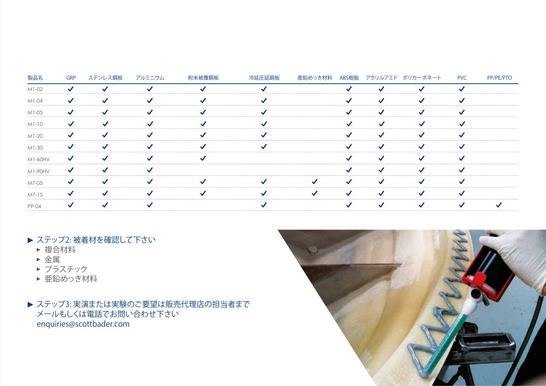| 製品名          | <b>GRP</b>   | ステンレス鋼板 | アルミニウム | 粉末被覆鋼板 | 冷延圧延鋼板 | 亜鉛めっき材料 |  | ABS樹脂 アクリルアミド ポリカーボネート | <b>PVC</b> | PP/PE/PTO |
|--------------|--------------|---------|--------|--------|--------|---------|--|------------------------|------------|-----------|
| M1-02        | $\checkmark$ |         |        |        |        |         |  |                        |            |           |
| M1-04        |              |         |        |        |        |         |  |                        |            |           |
| M1-05        |              |         |        |        |        |         |  |                        |            |           |
| M1-10        | $\checkmark$ |         |        |        |        |         |  |                        |            |           |
| M1-20        |              |         |        |        |        |         |  |                        |            |           |
| M1-30        |              |         |        |        |        |         |  |                        |            |           |
| M1-60HV      | $\checkmark$ |         |        |        |        |         |  |                        |            |           |
| M1-90HV      | $\checkmark$ |         |        |        |        |         |  |                        |            |           |
| M7-05        | $\checkmark$ |         |        |        |        |         |  |                        |            |           |
| $M7-15$      |              |         |        |        |        |         |  |                        |            |           |
| <b>PP-04</b> |              |         |        |        |        |         |  |                        |            |           |

- ▶ ステップ2: 被着材を確認して下さい
	- 複合材料
	- 金属
	- ▶ プラスチック
	- ▶ 亜鉛めっき材料
- ▶ ステップ3: 実演または実験のご要望は販売代理店の担当者まで メールもしくは電話でお問い合わせ下さい enquiries@scottbader.com